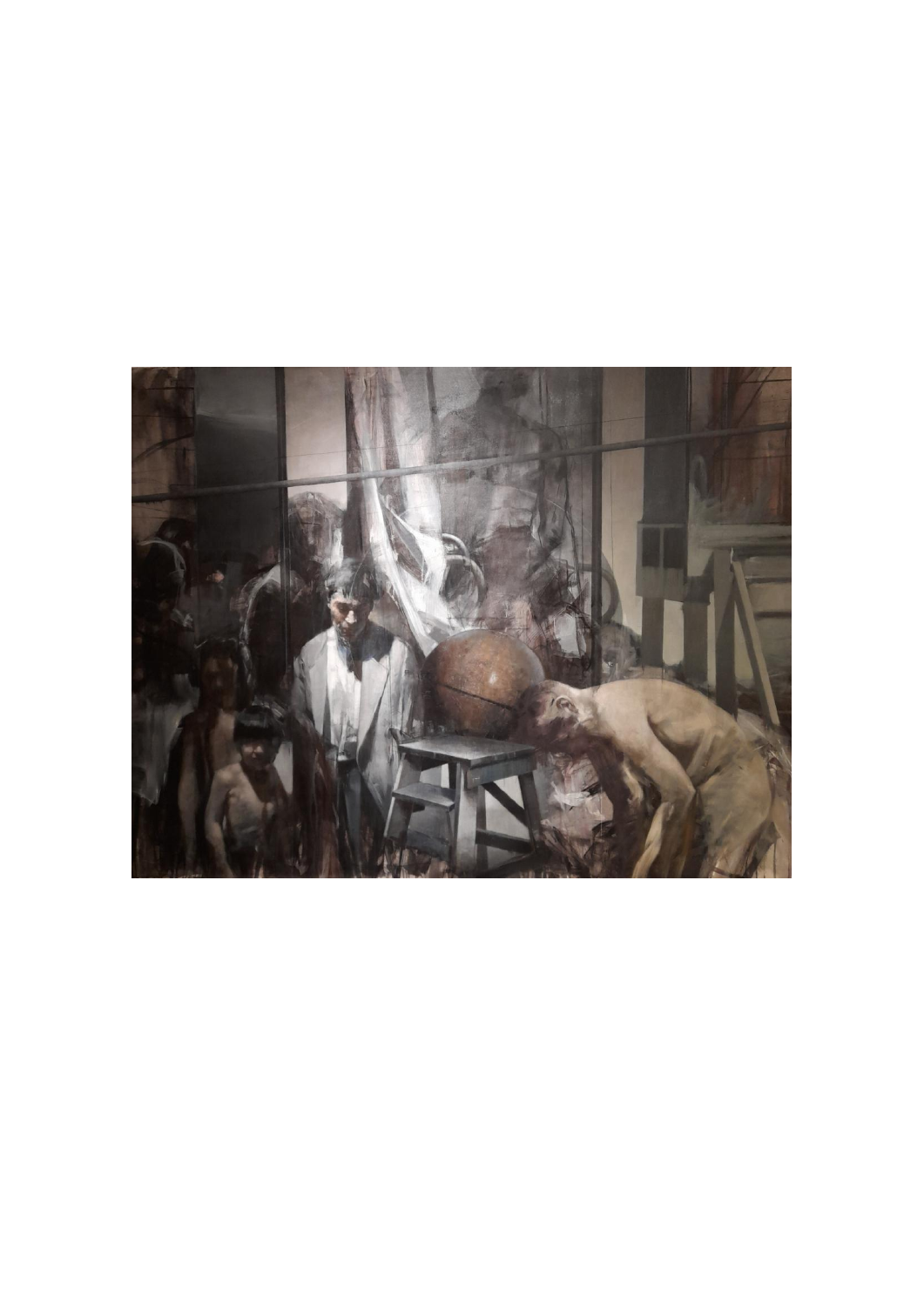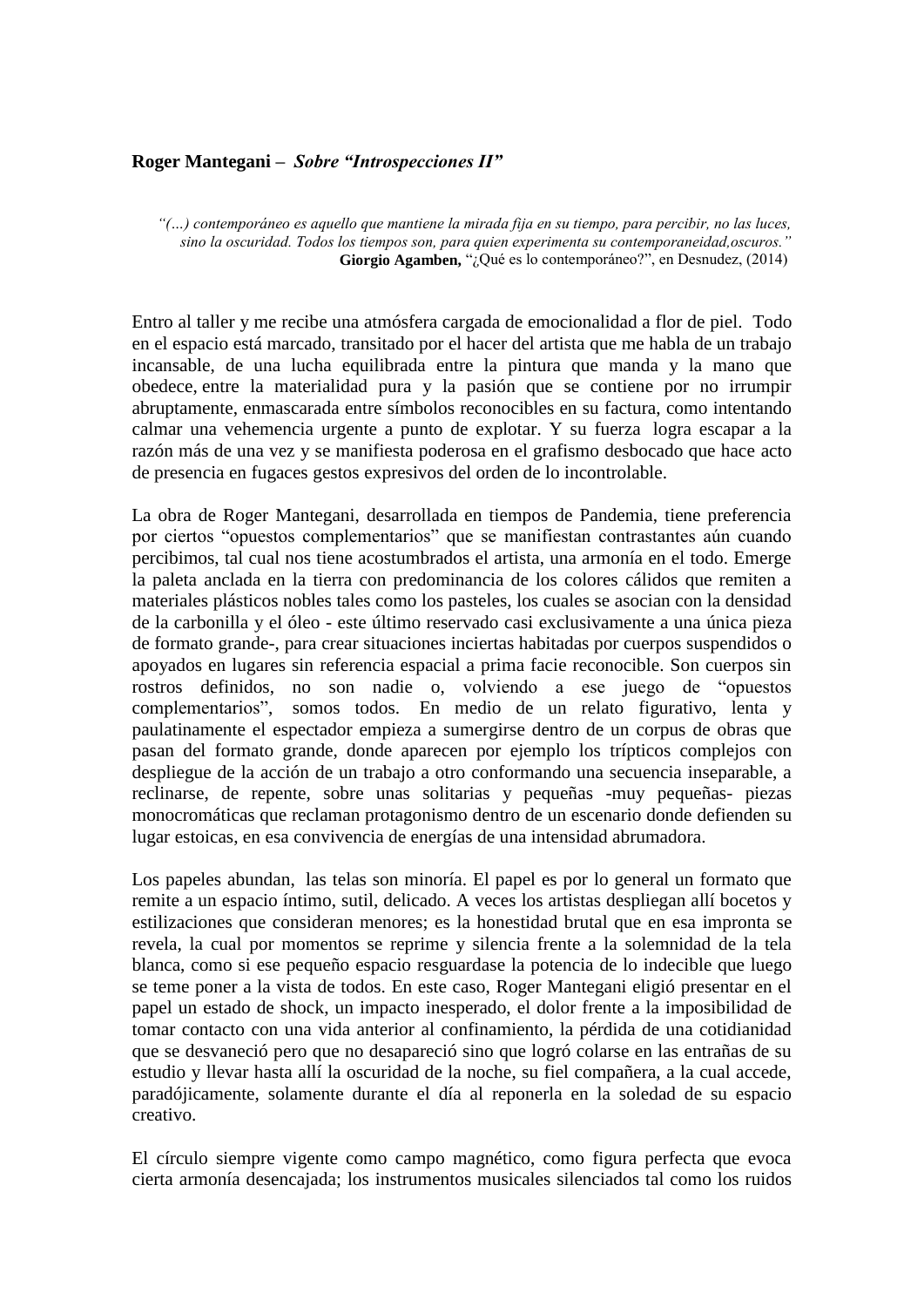## **Roger Mantegani –** *Sobre "Introspecciones II"*

*"(…) contemporáneo es aquello que mantiene la mirada fija en su tiempo, para percibir, no las luces, sino la oscuridad. Todos los tiempos son, para quien experimenta su contemporaneidad,oscuros."* **Giorgio Agamben,** "¿Qué es lo contemporáneo?", en Desnudez, (2014)

Entro al taller y me recibe una atmósfera cargada de emocionalidad a flor de piel. Todo en el espacio está marcado, transitado por el hacer del artista que me habla de un trabajo incansable, de una lucha equilibrada entre la pintura que manda y la mano que obedece, entre la materialidad pura y la pasión que se contiene por no irrumpir abruptamente, enmascarada entre símbolos reconocibles en su factura, como intentando calmar una vehemencia urgente a punto de explotar. Y su fuerza logra escapar a la razón más de una vez y se manifiesta poderosa en el grafismo desbocado que hace acto de presencia en fugaces gestos expresivos del orden de lo incontrolable.

La obra de Roger Mantegani, desarrollada en tiempos de Pandemia, tiene preferencia por ciertos "opuestos complementarios" que se manifiestan contrastantes aún cuando percibimos, tal cual nos tiene acostumbrados el artista, una armonía en el todo. Emerge la paleta anclada en la tierra con predominancia de los colores cálidos que remiten a materiales plásticos nobles tales como los pasteles, los cuales se asocian con la densidad de la carbonilla y el óleo - este último reservado casi exclusivamente a una única pieza de formato grande-, para crear situaciones inciertas habitadas por cuerpos suspendidos o apoyados en lugares sin referencia espacial a prima facie reconocible. Son cuerpos sin rostros definidos, no son nadie o, volviendo a ese juego de "opuestos complementarios", somos todos. En medio de un relato figurativo, lenta y paulatinamente el espectador empieza a sumergirse dentro de un corpus de obras que pasan del formato grande, donde aparecen por ejemplo los trípticos complejos con despliegue de la acción de un trabajo a otro conformando una secuencia inseparable, a reclinarse, de repente, sobre unas solitarias y pequeñas -muy pequeñas- piezas monocromáticas que reclaman protagonismo dentro de un escenario donde defienden su lugar estoicas, en esa convivencia de energías de una intensidad abrumadora.

Los papeles abundan, las telas son minoría. El papel es por lo general un formato que remite a un espacio íntimo, sutil, delicado. A veces los artistas despliegan allí bocetos y estilizaciones que consideran menores; es la honestidad brutal que en esa impronta se revela, la cual por momentos se reprime y silencia frente a la solemnidad de la tela blanca, como si ese pequeño espacio resguardase la potencia de lo indecible que luego se teme poner a la vista de todos. En este caso, Roger Mantegani eligió presentar en el papel un estado de shock, un impacto inesperado, el dolor frente a la imposibilidad de tomar contacto con una vida anterior al confinamiento, la pérdida de una cotidianidad que se desvaneció pero que no desapareció sino que logró colarse en las entrañas de su estudio y llevar hasta allí la oscuridad de la noche, su fiel compañera, a la cual accede, paradójicamente, solamente durante el día al reponerla en la soledad de su espacio creativo.

El círculo siempre vigente como campo magnético, como figura perfecta que evoca cierta armonía desencajada; los instrumentos musicales silenciados tal como los ruidos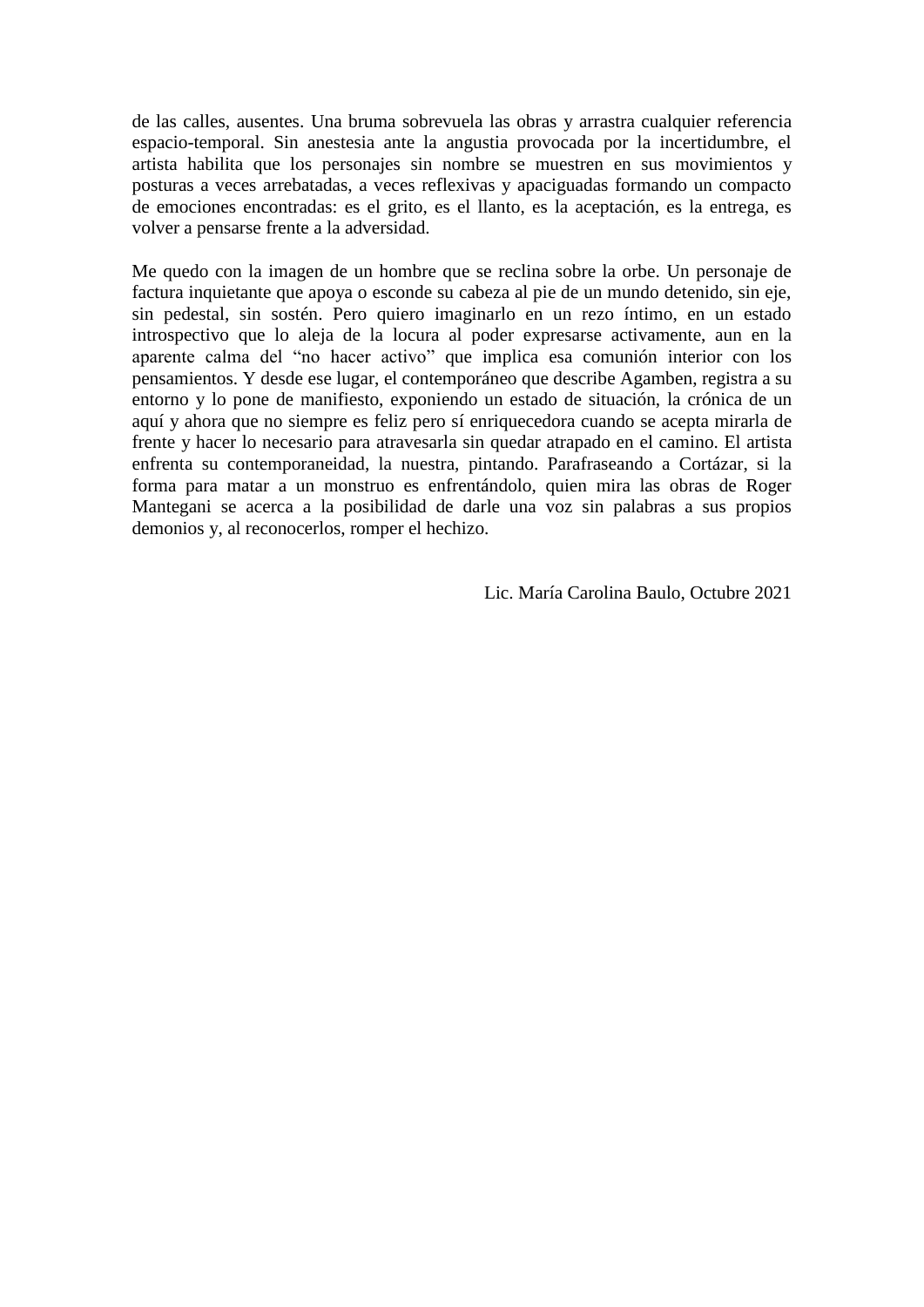de las calles, ausentes. Una bruma sobrevuela las obras y arrastra cualquier referencia espacio-temporal. Sin anestesia ante la angustia provocada por la incertidumbre, el artista habilita que los personajes sin nombre se muestren en sus movimientos y posturas a veces arrebatadas, a veces reflexivas y apaciguadas formando un compacto de emociones encontradas: es el grito, es el llanto, es la aceptación, es la entrega, es volver a pensarse frente a la adversidad.

Me quedo con la imagen de un hombre que se reclina sobre la orbe. Un personaje de factura inquietante que apoya o esconde su cabeza al pie de un mundo detenido, sin eje, sin pedestal, sin sostén. Pero quiero imaginarlo en un rezo íntimo, en un estado introspectivo que lo aleja de la locura al poder expresarse activamente, aun en la aparente calma del "no hacer activo" que implica esa comunión interior con los pensamientos. Y desde ese lugar, el contemporáneo que describe Agamben, registra a su entorno y lo pone de manifiesto, exponiendo un estado de situación, la crónica de un aquí y ahora que no siempre es feliz pero sí enriquecedora cuando se acepta mirarla de frente y hacer lo necesario para atravesarla sin quedar atrapado en el camino. El artista enfrenta su contemporaneidad, la nuestra, pintando. Parafraseando a Cortázar, si la forma para matar a un monstruo es enfrentándolo, quien mira las obras de Roger Mantegani se acerca a la posibilidad de darle una voz sin palabras a sus propios demonios y, al reconocerlos, romper el hechizo.

Lic. María Carolina Baulo, Octubre 2021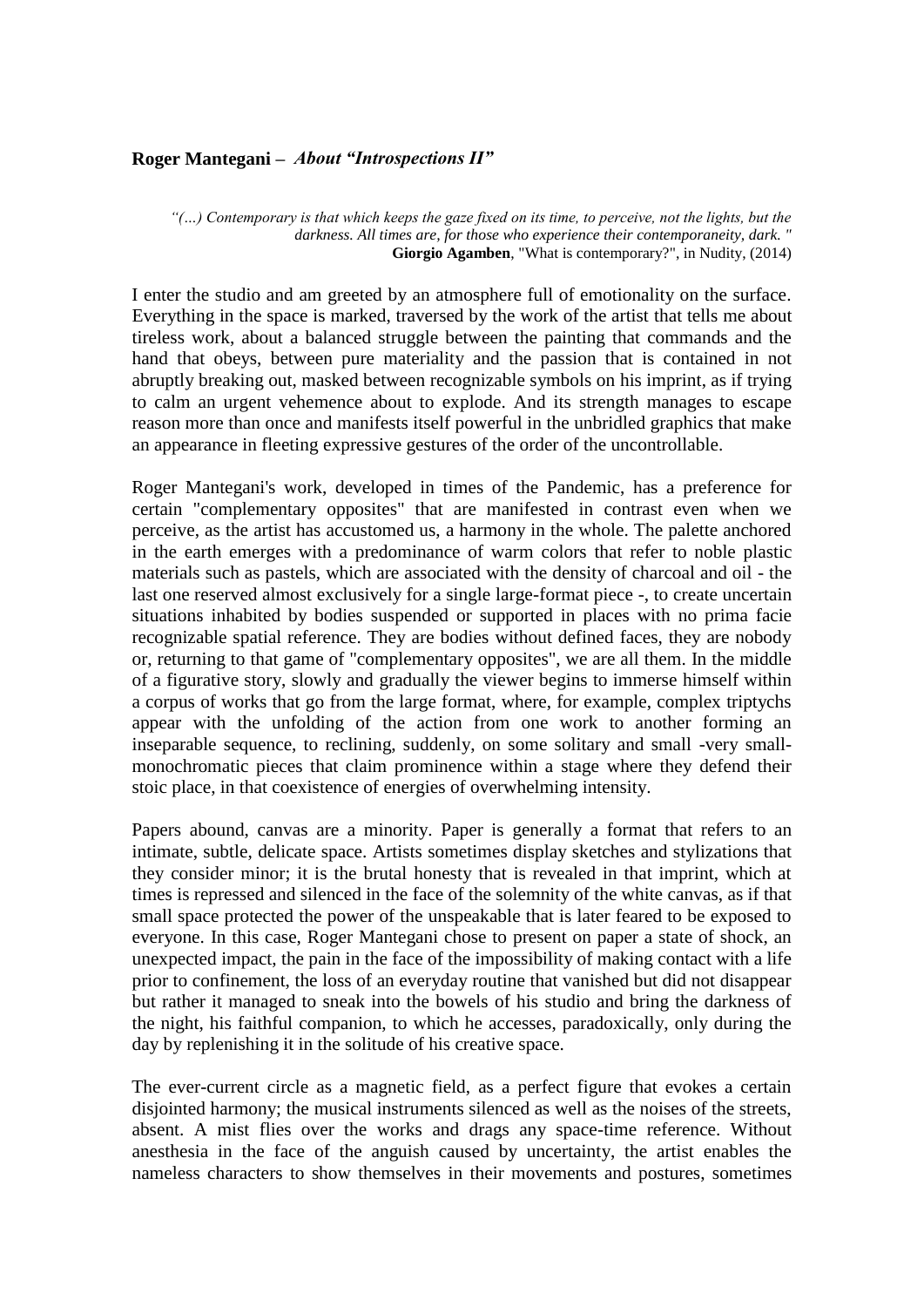## **Roger Mantegani –** *About "Introspections II"*

*"(…) Contemporary is that which keeps the gaze fixed on its time, to perceive, not the lights, but the darkness. All times are, for those who experience their contemporaneity, dark. "* **Giorgio Agamben**, "What is contemporary?", in Nudity, (2014)

I enter the studio and am greeted by an atmosphere full of emotionality on the surface. Everything in the space is marked, traversed by the work of the artist that tells me about tireless work, about a balanced struggle between the painting that commands and the hand that obeys, between pure materiality and the passion that is contained in not abruptly breaking out, masked between recognizable symbols on his imprint, as if trying to calm an urgent vehemence about to explode. And its strength manages to escape reason more than once and manifests itself powerful in the unbridled graphics that make an appearance in fleeting expressive gestures of the order of the uncontrollable.

Roger Mantegani's work, developed in times of the Pandemic, has a preference for certain "complementary opposites" that are manifested in contrast even when we perceive, as the artist has accustomed us, a harmony in the whole. The palette anchored in the earth emerges with a predominance of warm colors that refer to noble plastic materials such as pastels, which are associated with the density of charcoal and oil - the last one reserved almost exclusively for a single large-format piece -, to create uncertain situations inhabited by bodies suspended or supported in places with no prima facie recognizable spatial reference. They are bodies without defined faces, they are nobody or, returning to that game of "complementary opposites", we are all them. In the middle of a figurative story, slowly and gradually the viewer begins to immerse himself within a corpus of works that go from the large format, where, for example, complex triptychs appear with the unfolding of the action from one work to another forming an inseparable sequence, to reclining, suddenly, on some solitary and small -very smallmonochromatic pieces that claim prominence within a stage where they defend their stoic place, in that coexistence of energies of overwhelming intensity.

Papers abound, canvas are a minority. Paper is generally a format that refers to an intimate, subtle, delicate space. Artists sometimes display sketches and stylizations that they consider minor; it is the brutal honesty that is revealed in that imprint, which at times is repressed and silenced in the face of the solemnity of the white canvas, as if that small space protected the power of the unspeakable that is later feared to be exposed to everyone. In this case, Roger Mantegani chose to present on paper a state of shock, an unexpected impact, the pain in the face of the impossibility of making contact with a life prior to confinement, the loss of an everyday routine that vanished but did not disappear but rather it managed to sneak into the bowels of his studio and bring the darkness of the night, his faithful companion, to which he accesses, paradoxically, only during the day by replenishing it in the solitude of his creative space.

The ever-current circle as a magnetic field, as a perfect figure that evokes a certain disjointed harmony; the musical instruments silenced as well as the noises of the streets, absent. A mist flies over the works and drags any space-time reference. Without anesthesia in the face of the anguish caused by uncertainty, the artist enables the nameless characters to show themselves in their movements and postures, sometimes